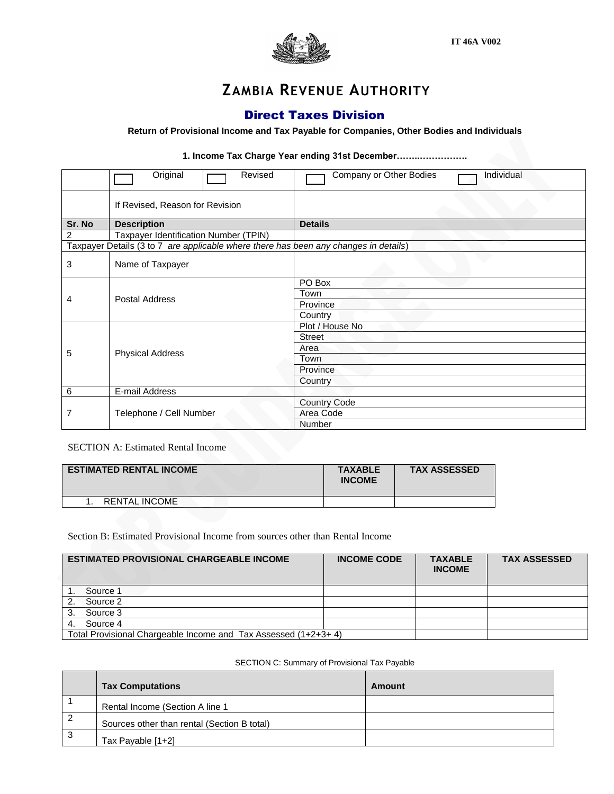

# **ZAMBIA REVENUE AUTHORITY**

### Direct Taxes Division

#### **Return of Provisional Income and Tax Payable for Companies, Other Bodies and Individuals**

#### **1. Income Tax Charge Year ending 31st December……..…………….**

|        | Original<br>Revised                                                                  | Company or Other Bodies<br>Individual |  |
|--------|--------------------------------------------------------------------------------------|---------------------------------------|--|
|        | If Revised, Reason for Revision                                                      |                                       |  |
| Sr. No | <b>Description</b>                                                                   | <b>Details</b>                        |  |
| 2      | Taxpayer Identification Number (TPIN)                                                |                                       |  |
|        | Taxpayer Details (3 to 7 are applicable where there has been any changes in details) |                                       |  |
| 3      | Name of Taxpayer                                                                     |                                       |  |
|        |                                                                                      | PO Box                                |  |
|        | Postal Address                                                                       | Town                                  |  |
| 4      |                                                                                      | Province                              |  |
|        |                                                                                      | Country                               |  |
|        |                                                                                      | Plot / House No                       |  |
| 5      | <b>Physical Address</b>                                                              | <b>Street</b>                         |  |
|        |                                                                                      | Area                                  |  |
|        |                                                                                      | Town                                  |  |
|        |                                                                                      | Province                              |  |
|        |                                                                                      | Country                               |  |
| 6      | E-mail Address                                                                       |                                       |  |
|        |                                                                                      | <b>Country Code</b>                   |  |
|        | Telephone / Cell Number                                                              | Area Code                             |  |
|        |                                                                                      | Number                                |  |

#### SECTION A: Estimated Rental Income

| <b>ESTIMATED RENTAL INCOME</b> | <b>TAXABLE</b><br><b>INCOME</b> | <b>TAX ASSESSED</b> |
|--------------------------------|---------------------------------|---------------------|
| <b>RENTAL INCOME</b>           |                                 |                     |

#### Section B: Estimated Provisional Income from sources other than Rental Income

| <b>ESTIMATED PROVISIONAL CHARGEABLE INCOME</b>                  | <b>INCOME CODE</b> | <b>TAXABLE</b><br><b>INCOME</b> | <b>TAX ASSESSED</b> |
|-----------------------------------------------------------------|--------------------|---------------------------------|---------------------|
| Source 1                                                        |                    |                                 |                     |
| Source 2                                                        |                    |                                 |                     |
| Source 3                                                        |                    |                                 |                     |
| Source 4                                                        |                    |                                 |                     |
| Total Provisional Chargeable Income and Tax Assessed (1+2+3+ 4) |                    |                                 |                     |

#### SECTION C: Summary of Provisional Tax Payable

|    | <b>Tax Computations</b>                     | Amount |
|----|---------------------------------------------|--------|
|    | Rental Income (Section A line 1             |        |
| ∠  | Sources other than rental (Section B total) |        |
| ر- | Tax Payable [1+2]                           |        |